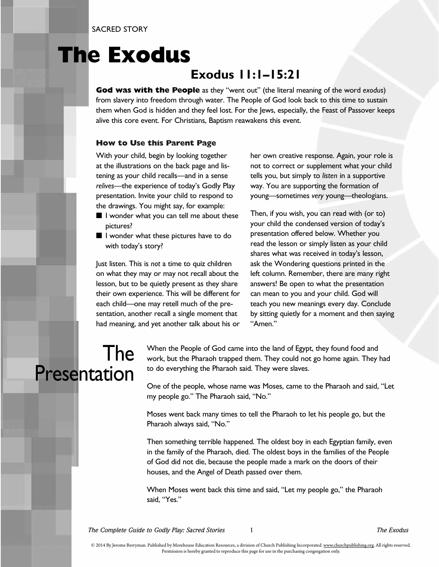SACRED STORY

## **The Exodus**

#### **Exodus 11:1–15:21**

**God was with the People** as they "went out" (the literal meaning of the word *exodus*) from slavery into freedom through water. The People of God look back to this time to sustain them when God is hidden and they feel lost. For the Jews, especially, the Feast of Passover keeps alive this core event. For Christians, Baptism reawakens this event.

#### **How to Use this Parent Page**

With your child, begin by looking together at the illustrations on the back page and listening as your child recalls—and in a sense *relives*—the experience of today's Godly Play presentation. Invite your child to respond to the drawings. You might say, for example:

- I wonder what you can tell me about these pictures?
- I wonder what these pictures have to do with today's story?

Just listen. This is *not* a time to quiz children on what they may or may not recall about the lesson, but to be quietly present as they share their own experience. This will be different for each child—one may retell much of the presentation, another recall a single moment that had meaning, and yet another talk about his or her own creative response. Again, your role is not to correct or supplement what your child tells you, but simply to *listen* in a supportive way. You are supporting the formation of young—sometimes *very* young—theologians.

Then, if you wish, you can read with (or to) your child the condensed version of today's presentation offered below. Whether you read the lesson or simply listen as your child shares what was received in today's lesson, ask the Wondering questions printed in the left column. Remember, there are many right answers! Be open to what the presentation can mean to you and your child. God will teach you new meanings every day. Conclude by sitting quietly for a moment and then saying "Amen."

### The Presentation

When the People of God came into the land of Egypt, they found food and work, but the Pharaoh trapped them. They could not go home again. They had to do everything the Pharaoh said. They were slaves.

One of the people, whose name was Moses, came to the Pharaoh and said, "Let my people go." The Pharaoh said, "No."

Moses went back many times to tell the Pharaoh to let his people go, but the Pharaoh always said, "No."

Then something terrible happened. The oldest boy in each Egyptian family, even in the family of the Pharaoh, died. The oldest boys in the families of the People of God did not die, because the people made a mark on the doors of their houses, and the Angel of Death passed over them.

When Moses went back this time and said, "Let my people go," the Pharaoh said, "Yes."

*The Complete Guide to Godly Play: Sacred Stories* 1 *The Exodus*